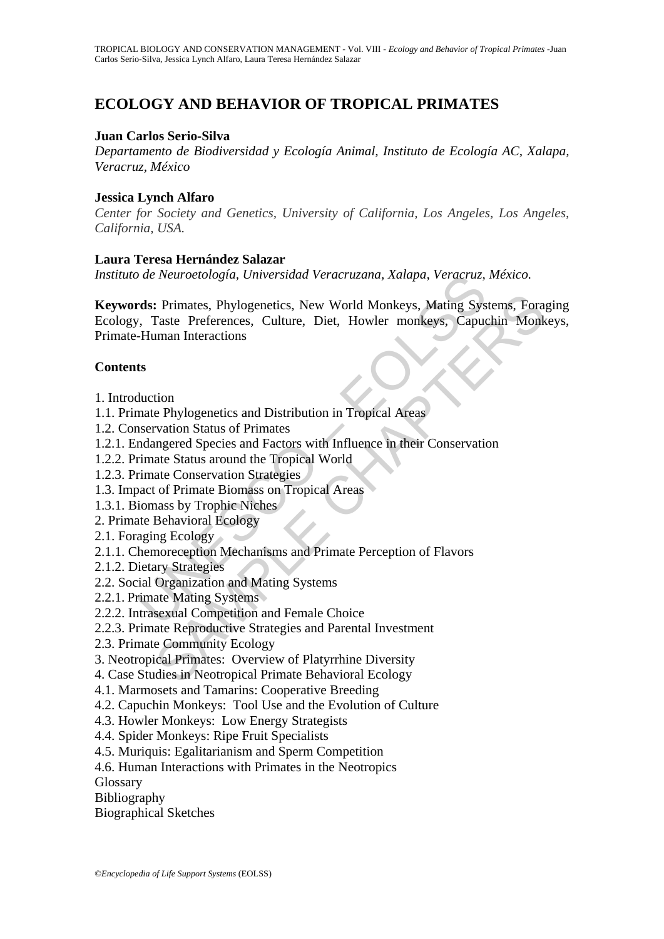# **ECOLOGY AND BEHAVIOR OF TROPICAL PRIMATES**

#### **Juan Carlos Serio-Silva**

*Departamento de Biodiversidad y Ecología Animal, Instituto de Ecología AC, Xalapa, Veracruz, México* 

#### **Jessica Lynch Alfaro**

*Center for Society and Genetics, University of California, Los Angeles, Los Angeles, California, USA.* 

#### **Laura Teresa Hernández Salazar**

*Instituto de Neuroetología, Universidad Veracruzana, Xalapa, Veracruz, México.* 

*The Neuroetologia, Universidad Veracruzana, Xalapa, Veracruz,*<br> **rds:** Primates, Phylogenetics, New World Monkeys, Mating Sys<br>
7. Taste Preferences, Culture, Diet, Howler monkeys, Capuc-Human Interactions<br> **ts**<br>
duction<br> **:** Primates, Phylogenetics, New World Monkeys, Mating Systems, Fora<br>Taste Preferences, Culture, Diet, Howler monkeys, Capuchin Monk<br>man Interactions<br>current Distribution in Tropical Areas<br>vation Status of Primates<br>margere **Keywords:** Primates, Phylogenetics, New World Monkeys, Mating Systems, Foraging Ecology, Taste Preferences, Culture, Diet, Howler monkeys, Capuchin Monkeys, Primate-Human Interactions

#### **Contents**

- 1. Introduction
- 1.1. Primate Phylogenetics and Distribution in Tropical Areas
- 1.2. Conservation Status of Primates
- 1.2.1. Endangered Species and Factors with Influence in their Conservation
- 1.2.2. Primate Status around the Tropical World
- 1.2.3. Primate Conservation Strategies
- 1.3. Impact of Primate Biomass on Tropical Areas
- 1.3.1. Biomass by Trophic Niches
- 2. Primate Behavioral Ecology
- 2.1. Foraging Ecology
- 2.1.1. Chemoreception Mechanisms and Primate Perception of Flavors
- 2.1.2. Dietary Strategies
- 2.2. Social Organization and Mating Systems
- 2.2.1. Primate Mating Systems
- 2.2.2. Intrasexual Competition and Female Choice
- 2.2.3. Primate Reproductive Strategies and Parental Investment
- 2.3. Primate Community Ecology
- 3. Neotropical Primates: Overview of Platyrrhine Diversity
- 4. Case Studies in Neotropical Primate Behavioral Ecology
- 4.1. Marmosets and Tamarins: Cooperative Breeding
- 4.2. Capuchin Monkeys: Tool Use and the Evolution of Culture
- 4.3. Howler Monkeys: Low Energy Strategists
- 4.4. Spider Monkeys: Ripe Fruit Specialists
- 4.5. Muriquis: Egalitarianism and Sperm Competition
- 4.6. Human Interactions with Primates in the Neotropics
- Glossary
- Bibliography
- Biographical Sketches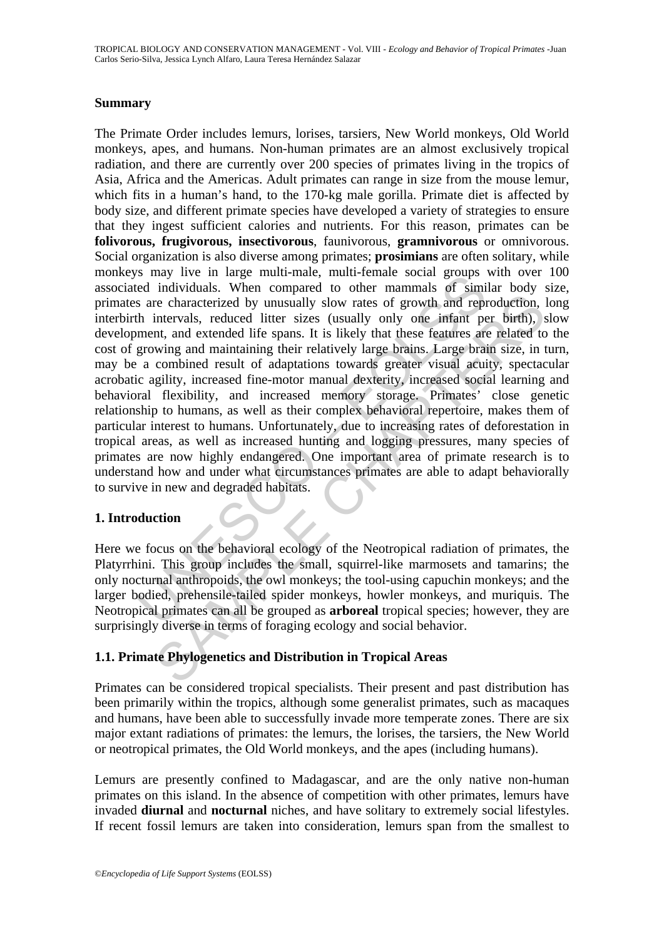### **Summary**

S may hve in rarge mini-manc, inuri-entant social groups<br>and individuals. When compared to other mammals of similar are social groups are characterized by unusually slow rates of growth and repth intervals, reduced litter re characterized by unusually slow rates of growth and reproduction,<br>intervals, reduced litter sizes (usually only one infant per birth),<br>then, that extended life spans. It is likely that these features are related to<br>wing The Primate Order includes lemurs, lorises, tarsiers, New World monkeys, Old World monkeys, apes, and humans. Non-human primates are an almost exclusively tropical radiation, and there are currently over 200 species of primates living in the tropics of Asia, Africa and the Americas. Adult primates can range in size from the mouse lemur, which fits in a human's hand, to the 170-kg male gorilla. Primate diet is affected by body size, and different primate species have developed a variety of strategies to ensure that they ingest sufficient calories and nutrients. For this reason, primates can be **folivorous, frugivorous, insectivorous**, faunivorous, **gramnivorous** or omnivorous. Social organization is also diverse among primates; **prosimians** are often solitary, while monkeys may live in large multi-male, multi-female social groups with over 100 associated individuals. When compared to other mammals of similar body size, primates are characterized by unusually slow rates of growth and reproduction, long interbirth intervals, reduced litter sizes (usually only one infant per birth), slow development, and extended life spans. It is likely that these features are related to the cost of growing and maintaining their relatively large brains. Large brain size, in turn, may be a combined result of adaptations towards greater visual acuity, spectacular acrobatic agility, increased fine-motor manual dexterity, increased social learning and behavioral flexibility, and increased memory storage. Primates' close genetic relationship to humans, as well as their complex behavioral repertoire, makes them of particular interest to humans. Unfortunately, due to increasing rates of deforestation in tropical areas, as well as increased hunting and logging pressures, many species of primates are now highly endangered. One important area of primate research is to understand how and under what circumstances primates are able to adapt behaviorally to survive in new and degraded habitats.

### **1. Introduction**

Here we focus on the behavioral ecology of the Neotropical radiation of primates, the Platyrrhini. This group includes the small, squirrel-like marmosets and tamarins; the only nocturnal anthropoids, the owl monkeys; the tool-using capuchin monkeys; and the larger bodied, prehensile-tailed spider monkeys, howler monkeys, and muriquis. The Neotropical primates can all be grouped as **arboreal** tropical species; however, they are surprisingly diverse in terms of foraging ecology and social behavior.

# **1.1. Primate Phylogenetics and Distribution in Tropical Areas**

Primates can be considered tropical specialists. Their present and past distribution has been primarily within the tropics, although some generalist primates, such as macaques and humans, have been able to successfully invade more temperate zones. There are six major extant radiations of primates: the lemurs, the lorises, the tarsiers, the New World or neotropical primates, the Old World monkeys, and the apes (including humans).

Lemurs are presently confined to Madagascar, and are the only native non-human primates on this island. In the absence of competition with other primates, lemurs have invaded **diurnal** and **nocturnal** niches, and have solitary to extremely social lifestyles. If recent fossil lemurs are taken into consideration, lemurs span from the smallest to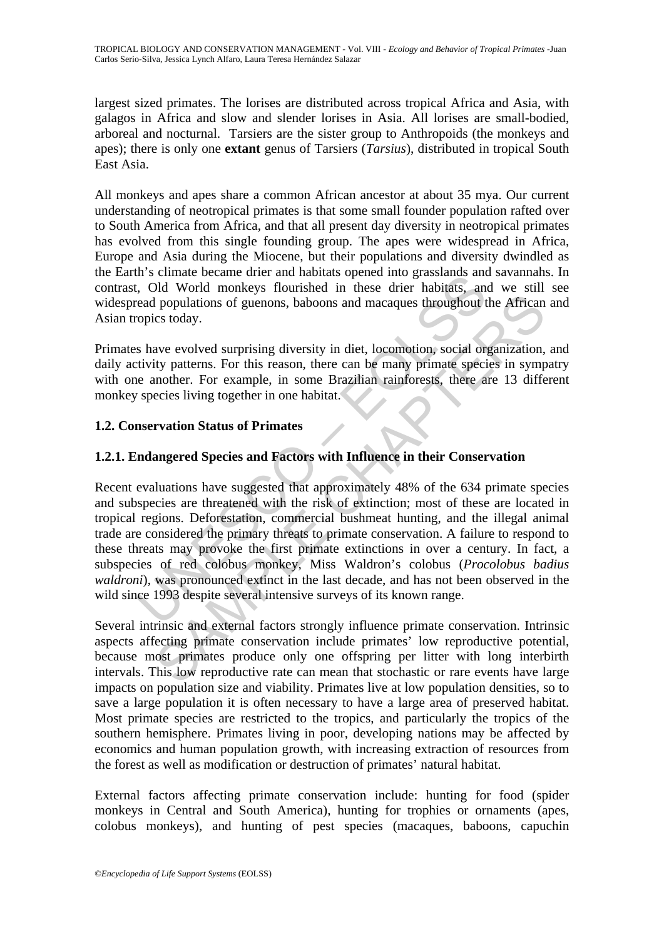TROPICAL BIOLOGY AND CONSERVATION MANAGEMENT - Vol. VIII - *Ecology and Behavior of Tropical Primates* -Juan Carlos Serio-Silva, Jessica Lynch Alfaro, Laura Teresa Hernández Salazar

largest sized primates. The lorises are distributed across tropical Africa and Asia, with galagos in Africa and slow and slender lorises in Asia. All lorises are small-bodied, arboreal and nocturnal. Tarsiers are the sister group to Anthropoids (the monkeys and apes); there is only one **extant** genus of Tarsiers (*Tarsius*), distributed in tropical South East Asia.

All monkeys and apes share a common African ancestor at about 35 mya. Our current understanding of neotropical primates is that some small founder population rafted over to South America from Africa, and that all present day diversity in neotropical primates has evolved from this single founding group. The apes were widespread in Africa, Europe and Asia during the Miocene, but their populations and diversity dwindled as the Earth's climate became drier and habitats opened into grasslands and savannahs. In contrast, Old World monkeys flourished in these drier habitats, and we still see widespread populations of guenons, baboons and macaques throughout the African and Asian tropics today.

Primates have evolved surprising diversity in diet, locomotion, social organization, and daily activity patterns. For this reason, there can be many primate species in sympatry with one another. For example, in some Brazilian rainforests, there are 13 different monkey species living together in one habitat.

### **1.2. Conservation Status of Primates**

### **1.2.1. Endangered Species and Factors with Influence in their Conservation**

IT scheme technic unter and induced in these drier habitats and<br>is considered moreover and interest and interest and populations of guenons, baboons and macaques throughout t<br>read populations of guenons, baboons and macaqu If populations of guenons, baboons and macaques throughout the African<br>cs today.<br>ave evolved surprising diversity in diet, locomotion, social organization,<br>ity patterns. For this reason, there can be many primate species i Recent evaluations have suggested that approximately 48% of the 634 primate species and subspecies are threatened with the risk of extinction; most of these are located in tropical regions. Deforestation, commercial bushmeat hunting, and the illegal animal trade are considered the primary threats to primate conservation. A failure to respond to these threats may provoke the first primate extinctions in over a century. In fact, a subspecies of red colobus monkey, Miss Waldron's colobus (*Procolobus badius waldroni*), was pronounced extinct in the last decade, and has not been observed in the wild since 1993 despite several intensive surveys of its known range.

Several intrinsic and external factors strongly influence primate conservation. Intrinsic aspects affecting primate conservation include primates' low reproductive potential, because most primates produce only one offspring per litter with long interbirth intervals. This low reproductive rate can mean that stochastic or rare events have large impacts on population size and viability. Primates live at low population densities, so to save a large population it is often necessary to have a large area of preserved habitat. Most primate species are restricted to the tropics, and particularly the tropics of the southern hemisphere. Primates living in poor, developing nations may be affected by economics and human population growth, with increasing extraction of resources from the forest as well as modification or destruction of primates' natural habitat.

External factors affecting primate conservation include: hunting for food (spider monkeys in Central and South America), hunting for trophies or ornaments (apes, colobus monkeys), and hunting of pest species (macaques, baboons, capuchin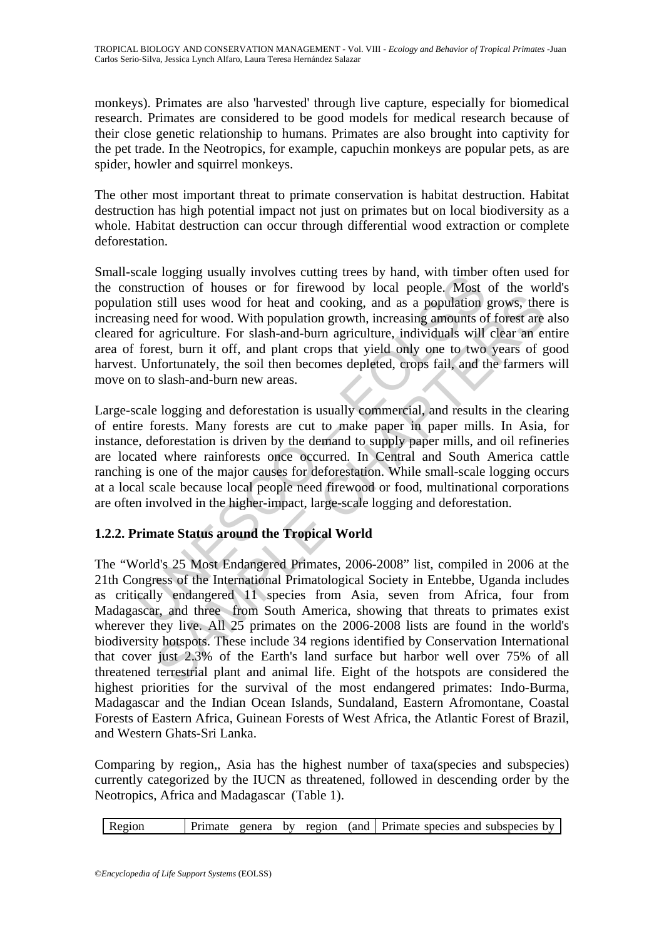monkeys). Primates are also 'harvested' through live capture, especially for biomedical research. Primates are considered to be good models for medical research because of their close genetic relationship to humans. Primates are also brought into captivity for the pet trade. In the Neotropics, for example, capuchin monkeys are popular pets, as are spider, howler and squirrel monkeys.

The other most important threat to primate conservation is habitat destruction. Habitat destruction has high potential impact not just on primates but on local biodiversity as a whole. Habitat destruction can occur through differential wood extraction or complete deforestation.

cae logging usary involves cutting trees by hand, whi timber<br>instruction of houses or for firewood by local people. Most<br>ion still uses wood for heat and cooking, and as a population<br>ing need for wood. With population grow Small-scale logging usually involves cutting trees by hand, with timber often used for the construction of houses or for firewood by local people. Most of the world's population still uses wood for heat and cooking, and as a population grows, there is increasing need for wood. With population growth, increasing amounts of forest are also cleared for agriculture. For slash-and-burn agriculture, individuals will clear an entire area of forest, burn it off, and plant crops that yield only one to two years of good harvest. Unfortunately, the soil then becomes depleted, crops fail, and the farmers will move on to slash-and-burn new areas.

Large-scale logging and deforestation is usually commercial, and results in the clearing of entire forests. Many forests are cut to make paper in paper mills. In Asia, for instance, deforestation is driven by the demand to supply paper mills, and oil refineries are located where rainforests once occurred. In Central and South America cattle ranching is one of the major causes for deforestation. While small-scale logging occurs at a local scale because local people need firewood or food, multinational corporations are often involved in the higher-impact, large-scale logging and deforestation.

# **1.2.2. Primate Status around the Tropical World**

still uses wood for heat and cooking, and as a population grows, then<br>eed for wood. With population growth, increasing amounts of forest are<br>egriculture. For slash-and-burn agriculture, individuals will clear an<br>erast, bur The "World's 25 Most Endangered Primates, 2006-2008" list, compiled in 2006 at the 21th Congress of the International Primatological Society in Entebbe, Uganda includes as critically endangered 11 species from Asia, seven from Africa, four from Madagascar, and three from South America, showing that threats to primates exist wherever they live. All 25 primates on the 2006-2008 lists are found in the world's biodiversity hotspots. These include 34 regions identified by Conservation International that cover just 2.3% of the Earth's land surface but harbor well over 75% of all threatened terrestrial plant and animal life. Eight of the hotspots are considered the highest priorities for the survival of the most endangered primates: Indo-Burma, Madagascar and the Indian Ocean Islands, Sundaland, Eastern Afromontane, Coastal Forests of Eastern Africa, Guinean Forests of West Africa, the Atlantic Forest of Brazil, and Western Ghats-Sri Lanka.

Comparing by region,, Asia has the highest number of taxa(species and subspecies) currently categorized by the IUCN as threatened, followed in descending order by the Neotropics, Africa and Madagascar (Table 1).

Region Primate genera by region (and Primate species and subspecies by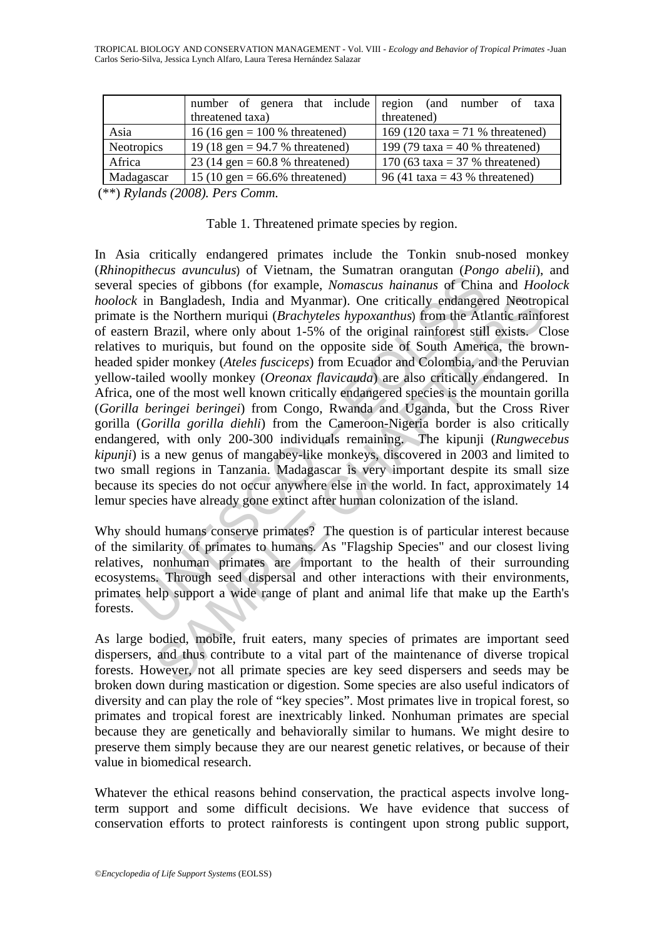TROPICAL BIOLOGY AND CONSERVATION MANAGEMENT - Vol. VIII - *Ecology and Behavior of Tropical Primates* -Juan Carlos Serio-Silva, Jessica Lynch Alfaro, Laura Teresa Hernández Salazar

|                   | number of genera that include region (and number of taxa<br>threatened taxa) | threatened)                      |
|-------------------|------------------------------------------------------------------------------|----------------------------------|
| Asia              | 16 (16 gen = $100 \%$ threatened)                                            | 169 (120 taxa = 71 % threatened) |
| <b>Neotropics</b> | 19 (18 gen = $94.7$ % threatened)                                            | 199 (79 taxa = 40 % threatened)  |
| Africa            | 23 (14 gen = $60.8$ % threatened)                                            | 170 (63 taxa = $37%$ threatened) |
| Madagascar        | 15 (10 gen = $66.6\%$ threatened)                                            | 96 (41 taxa = 43 % threatened)   |

(\*\*) *Rylands (2008). Pers Comm.* 

#### Table 1. Threatened primate species by region.

mechanism, or retuning the bumannia of chipser<br>species of gibbons (for example, *Nomascus hainanus* of Chin<br>in Bangladesh, India and Myanmar). One critically endanger<br>is the Northern muriqui (*Brachyteles hypoxanthus*) fr Bangladesh, India and Myanmar). One critically endangered Neotrop<br>the Northern muriqui (*Brachlyteles hypoxanthus*) from the Atlantic rainf<br>Brazil, where only about 1-5% of the original rainforest still exists. C<br>or muriqu In Asia critically endangered primates include the Tonkin snub-nosed monkey (*Rhinopithecus avunculus*) of Vietnam, the Sumatran orangutan (*Pongo abelii*), and several species of gibbons (for example, *Nomascus hainanus* of China and *Hoolock hoolock* in Bangladesh, India and Myanmar). One critically endangered Neotropical primate is the Northern muriqui (*Brachyteles hypoxanthus*) from the Atlantic rainforest of eastern Brazil, where only about 1-5% of the original rainforest still exists. Close relatives to muriquis, but found on the opposite side of South America, the brownheaded spider monkey (*Ateles fusciceps*) from Ecuador and Colombia, and the Peruvian yellow-tailed woolly monkey (*Oreonax flavicauda*) are also critically endangered. In Africa, one of the most well known critically endangered species is the mountain gorilla (*Gorilla beringei beringei*) from Congo, Rwanda and Uganda, but the Cross River gorilla (*Gorilla gorilla diehli*) from the Cameroon-Nigeria border is also critically endangered, with only 200-300 individuals remaining. The kipunji (*Rungwecebus kipunji*) is a new genus of mangabey-like monkeys, discovered in 2003 and limited to two small regions in Tanzania. Madagascar is very important despite its small size because its species do not occur anywhere else in the world. In fact, approximately 14 lemur species have already gone extinct after human colonization of the island.

Why should humans conserve primates? The question is of particular interest because of the similarity of primates to humans. As "Flagship Species" and our closest living relatives, nonhuman primates are important to the health of their surrounding ecosystems. Through seed dispersal and other interactions with their environments, primates help support a wide range of plant and animal life that make up the Earth's forests.

As large bodied, mobile, fruit eaters, many species of primates are important seed dispersers, and thus contribute to a vital part of the maintenance of diverse tropical forests. However, not all primate species are key seed dispersers and seeds may be broken down during mastication or digestion. Some species are also useful indicators of diversity and can play the role of "key species". Most primates live in tropical forest, so primates and tropical forest are inextricably linked. Nonhuman primates are special because they are genetically and behaviorally similar to humans. We might desire to preserve them simply because they are our nearest genetic relatives, or because of their value in biomedical research.

Whatever the ethical reasons behind conservation, the practical aspects involve longterm support and some difficult decisions. We have evidence that success of conservation efforts to protect rainforests is contingent upon strong public support,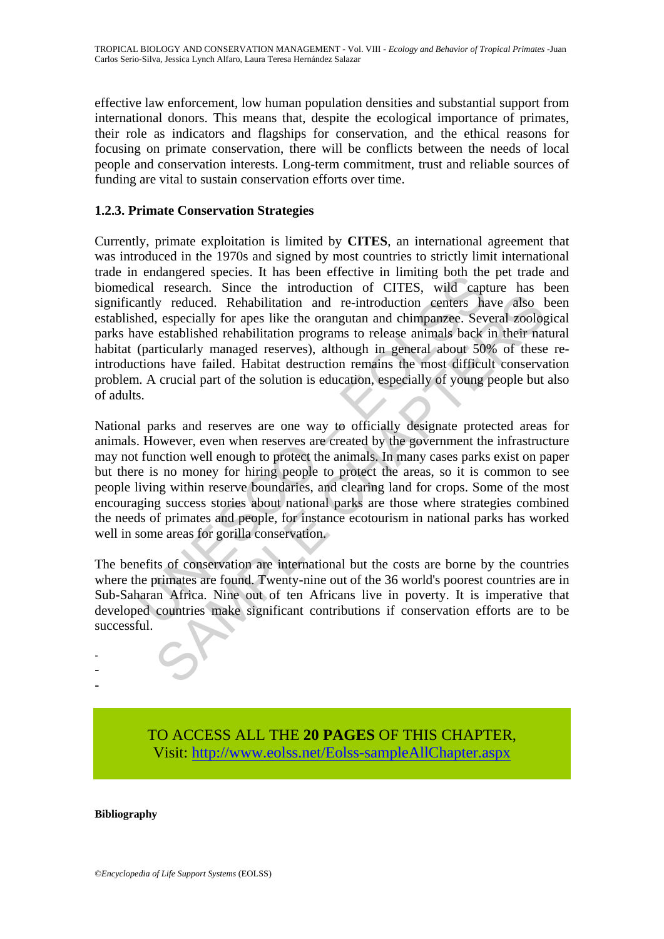effective law enforcement, low human population densities and substantial support from international donors. This means that, despite the ecological importance of primates, their role as indicators and flagships for conservation, and the ethical reasons for focusing on primate conservation, there will be conflicts between the needs of local people and conservation interests. Long-term commitment, trust and reliable sources of funding are vital to sustain conservation efforts over time.

### **1.2.3. Primate Conservation Strategies**

endangered species. It has been entertwe in imming bout the<br>cical research. Since the introduction of CITES, wild captually reduced. Rehabilitation and re-introduction centers has<br>hed, especially for apes like the oranguta Currently, primate exploitation is limited by **CITES**, an international agreement that was introduced in the 1970s and signed by most countries to strictly limit international trade in endangered species. It has been effective in limiting both the pet trade and biomedical research. Since the introduction of CITES, wild capture has been significantly reduced. Rehabilitation and re-introduction centers have also been established, especially for apes like the orangutan and chimpanzee. Several zoological parks have established rehabilitation programs to release animals back in their natural habitat (particularly managed reserves), although in general about 50% of these reintroductions have failed. Habitat destruction remains the most difficult conservation problem. A crucial part of the solution is education, especially of young people but also of adults.

ly reduced. Rehabilitation and re-introduction centers have also leads also leads also leads also leads also leads also leads also leads also leads also leads also leads also leads also leads also leads also leads also lea National parks and reserves are one way to officially designate protected areas for animals. However, even when reserves are created by the government the infrastructure may not function well enough to protect the animals. In many cases parks exist on paper but there is no money for hiring people to protect the areas, so it is common to see people living within reserve boundaries, and clearing land for crops. Some of the most encouraging success stories about national parks are those where strategies combined the needs of primates and people, for instance ecotourism in national parks has worked well in some areas for gorilla conservation.

The benefits of conservation are international but the costs are borne by the countries where the primates are found. Twenty-nine out of the 36 world's poorest countries are in Sub-Saharan Africa. Nine out of ten Africans live in poverty. It is imperative that developed countries make significant contributions if conservation efforts are to be successful.

> TO ACCESS ALL THE **20 PAGES** OF THIS CHAPTER, Visi[t: http://www.eolss.net/Eolss-sampleAllChapter.aspx](https://www.eolss.net/ebooklib/sc_cart.aspx?File=E6-142-TZ-09)

#### **Bibliography**

- - -